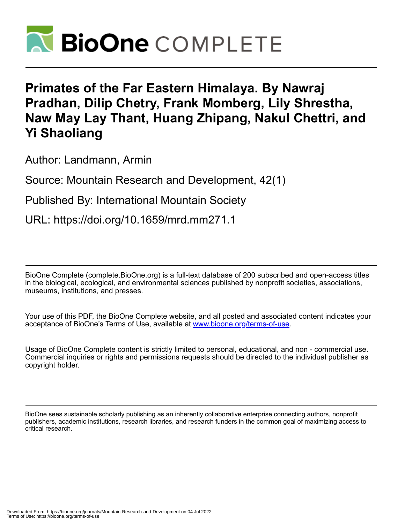

## **Primates of the Far Eastern Himalaya. By Nawraj Pradhan, Dilip Chetry, Frank Momberg, Lily Shrestha, Naw May Lay Thant, Huang Zhipang, Nakul Chettri, and Yi Shaoliang**

Author: Landmann, Armin

Source: Mountain Research and Development, 42(1)

Published By: International Mountain Society

URL: https://doi.org/10.1659/mrd.mm271.1

BioOne Complete (complete.BioOne.org) is a full-text database of 200 subscribed and open-access titles in the biological, ecological, and environmental sciences published by nonprofit societies, associations, museums, institutions, and presses.

Your use of this PDF, the BioOne Complete website, and all posted and associated content indicates your acceptance of BioOne's Terms of Use, available at www.bioone.org/terms-of-use.

Usage of BioOne Complete content is strictly limited to personal, educational, and non - commercial use. Commercial inquiries or rights and permissions requests should be directed to the individual publisher as copyright holder.

BioOne sees sustainable scholarly publishing as an inherently collaborative enterprise connecting authors, nonprofit publishers, academic institutions, research libraries, and research funders in the common goal of maximizing access to critical research.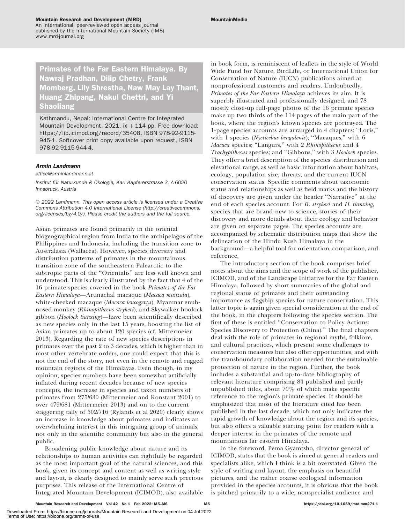## Primates of the Far Eastern Himalaya. By Nawraj Pradhan, Dilip Chetry, Frank Momberg, Lily Shrestha, Naw May Lay Thant, Huang Zhipang, Nakul Chettri, and Yi Shaoliang

Kathmandu, Nepal: International Centre for Integrated Mountain Development, 2021. ix  $+$  114 pp. Free download: <https://lib.icimod.org/record/35408>, ISBN 978-92-9115- 945-1. Softcover print copy available upon request, ISBN 978-92-9115-944-4.

## Armin Landmann

[office@arminlandmann.at](mailto:office@arminlandmann.at)

Institut für Naturkunde & Ökologie, Karl Kapfererstrasse 3, A-6020 Innsbruck, Austria

© 2022 Landmann. This open access article is licensed under a Creative Commons Attribution 4.0 International License [\(http://creativecommons.](http://creativecommons.org/licenses/by/4.0/) [org/licenses/by/4.0/\)](http://creativecommons.org/licenses/by/4.0/). Please credit the authors and the full source.

Asian primates are found primarily in the oriental biogeographical region from India to the archipelagos of the Philippines and Indonesia, including the transition zone to Australasia (Wallacea). However, species diversity and distribution patterns of primates in the mountainous transition zone of the southeastern Palearctic to the subtropic parts of the ''Orientalis'' are less well known and understood. This is clearly illustrated by the fact that 4 of the 16 primate species covered in the book Primates of the Far Eastern Himalaya—Arunachal macaque (Macaca munzala), white-cheeked macaque (Macaca leucogenys), Myanmar snubnosed monkey (Rhinopithecus strykeri), and Skywalker hoolock gibbon (Hoolock tianxing)—have been scientifically described as new species only in the last 15 years, boosting the list of Asian primates up to about 120 species (cf. Mittermeier 2013). Regarding the rate of new species descriptions in primates over the past 2 to 3 decades, which is higher than in most other vertebrate orders, one could expect that this is not the end of the story, not even in the remote and rugged mountain regions of the Himalayas. Even though, in my opinion, species numbers have been somewhat artificially inflated during recent decades because of new species concepts, the increase in species and taxon numbers of primates from 275/630 (Mittermeier and Konstant 2001) to over 479/681 (Mittermeier 2013) and on to the current staggering tally of 502/716 (Rylands et al 2020) clearly shows an increase in knowledge about primates and indicates an overwhelming interest in this intriguing group of animals, not only in the scientific community but also in the general public.

Broadening public knowledge about nature and its relationships to human activities can rightfully be regarded as the most important goal of the natural sciences, and this book, given its concept and content as well as writing style and layout, is clearly designed to mainly serve such precious purposes. This release of the International Centre of Integrated Mountain Development (ICIMOD), also available in book form, is reminiscent of leaflets in the style of World Wide Fund for Nature, BirdLife, or International Union for Conservation of Nature (IUCN) publications aimed at nonprofessional customers and readers. Undoubtedly, Primates of the Far Eastern Himalaya achieves its aim. It is superbly illustrated and professionally designed, and 78 mostly close-up full-page photos of the 16 primate species make up two thirds of the 114 pages of the main part of the book, where the region's known species are portrayed. The 1-page species accounts are arranged in 4 chapters: ''Loris,'' with 1 species (Nycticebus bengalenis); "Macaques," with 6 Macaca species; ''Langurs,'' with 2 Rhinopithecus and 4 Trachypithecus species; and ''Gibbons,'' with 3 Hoolock species. They offer a brief description of the species' distribution and elevational range, as well as basic information about habitats, ecology, population size, threats, and the current IUCN conservation status. Specific comments about taxonomic status and relationships as well as field marks and the history of discovery are given under the header ''Narrative'' at the end of each species account. For R. strykeri and H. tianxing, species that are brand-new to science, stories of their discovery and more details about their ecology and behavior are given on separate pages. The species accounts are accompanied by schematic distribution maps that show the delineation of the Hindu Kush Himalaya in the background—a helpful tool for orientation, comparison, and reference.

The introductory section of the book comprises brief notes about the aims and the scope of work of the publisher, ICIMOD, and of the Landscape Initiative for the Far Eastern Himalaya, followed by short summaries of the global and regional status of primates and their outstanding importance as flagship species for nature conservation. This latter topic is again given special consideration at the end of the book, in the chapters following the species section. The first of these is entitled ''Conservation to Policy Actions: Species Discovery to Protection (China).'' The final chapters deal with the role of primates in regional myths, folklore, and cultural practices, which present some challenges to conservation measures but also offer opportunities, and with the transboundary collaboration needed for the sustainable protection of nature in the region. Further, the book includes a substantial and up-to-date bibliography of relevant literature comprising 84 published and partly unpublished titles, about 70% of which make specific reference to the region's primate species. It should be emphasized that most of the literature cited has been published in the last decade, which not only indicates the rapid growth of knowledge about the region and its species, but also offers a valuable starting point for readers with a deeper interest in the primates of the remote and mountainous far eastern Himalaya.

In the foreword, Pema Gyamtsho, director general of ICIMOD, states that the book is aimed at general readers and specialists alike, which I think is a bit overstated. Given the style of writing and layout, the emphasis on beautiful pictures, and the rather coarse ecological information provided in the species accounts, it is obvious that the book is pitched primarily to a wide, nonspecialist audience and

Terms of Use: https://bioone.org/terms-of-use